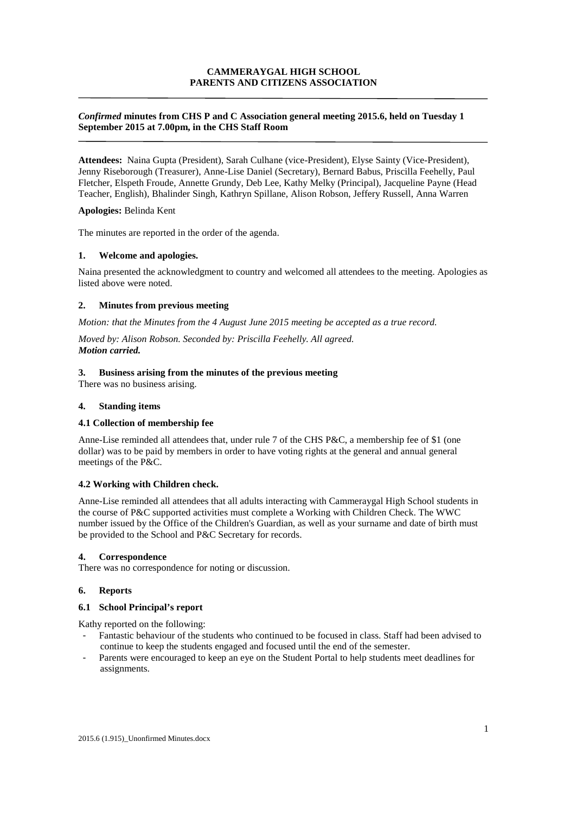# **CAMMERAYGAL HIGH SCHOOL PARENTS AND CITIZENS ASSOCIATION**

## *Confirmed* **minutes from CHS P and C Association general meeting 2015.6, held on Tuesday 1 September 2015 at 7.00pm, in the CHS Staff Room**

**Attendees:** Naina Gupta (President), Sarah Culhane (vice-President), Elyse Sainty (Vice-President), Jenny Riseborough (Treasurer), Anne-Lise Daniel (Secretary), Bernard Babus, Priscilla Feehelly, Paul Fletcher, Elspeth Froude, Annette Grundy, Deb Lee, Kathy Melky (Principal), Jacqueline Payne (Head Teacher, English), Bhalinder Singh, Kathryn Spillane, Alison Robson, Jeffery Russell, Anna Warren

### **Apologies:** Belinda Kent

The minutes are reported in the order of the agenda.

### **1. Welcome and apologies.**

Naina presented the acknowledgment to country and welcomed all attendees to the meeting. Apologies as listed above were noted.

### **2. Minutes from previous meeting**

*Motion: that the Minutes from the 4 August June 2015 meeting be accepted as a true record.* 

*Moved by: Alison Robson. Seconded by: Priscilla Feehelly. All agreed. Motion carried.*

#### **3. Business arising from the minutes of the previous meeting**

There was no business arising.

#### **4. Standing items**

### **4.1 Collection of membership fee**

Anne-Lise reminded all attendees that, under rule 7 of the CHS P&C, a membership fee of \$1 (one dollar) was to be paid by members in order to have voting rights at the general and annual general meetings of the P&C.

## **4.2 Working with Children check.**

Anne-Lise reminded all attendees that all adults interacting with Cammeraygal High School students in the course of P&C supported activities must complete a Working with Children Check. The WWC number issued by the Office of the Children's Guardian, as well as your surname and date of birth must be provided to the School and P&C Secretary for records.

#### **4. Correspondence**

There was no correspondence for noting or discussion.

## **6. Reports**

#### **6.1 School Principal's report**

Kathy reported on the following:

- Fantastic behaviour of the students who continued to be focused in class. Staff had been advised to continue to keep the students engaged and focused until the end of the semester.
- Parents were encouraged to keep an eye on the Student Portal to help students meet deadlines for assignments.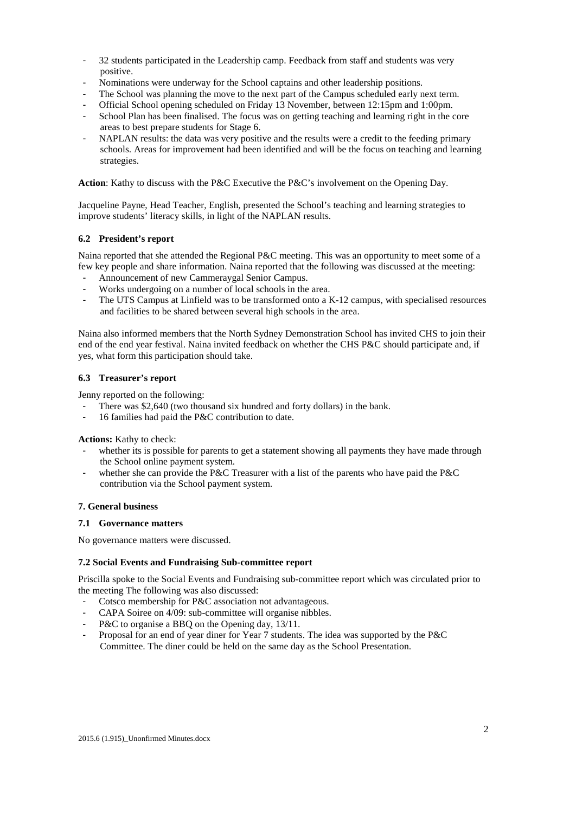- 32 students participated in the Leadership camp. Feedback from staff and students was very positive.
- Nominations were underway for the School captains and other leadership positions.
- The School was planning the move to the next part of the Campus scheduled early next term.
- Official School opening scheduled on Friday 13 November, between 12:15pm and 1:00pm.
- School Plan has been finalised. The focus was on getting teaching and learning right in the core areas to best prepare students for Stage 6.
- NAPLAN results: the data was very positive and the results were a credit to the feeding primary schools. Areas for improvement had been identified and will be the focus on teaching and learning strategies.

**Action**: Kathy to discuss with the P&C Executive the P&C's involvement on the Opening Day.

Jacqueline Payne, Head Teacher, English, presented the School's teaching and learning strategies to improve students' literacy skills, in light of the NAPLAN results.

## **6.2 President's report**

Naina reported that she attended the Regional P&C meeting. This was an opportunity to meet some of a few key people and share information. Naina reported that the following was discussed at the meeting:

- Announcement of new Cammeraygal Senior Campus.
- Works undergoing on a number of local schools in the area.
- The UTS Campus at Linfield was to be transformed onto a K-12 campus, with specialised resources and facilities to be shared between several high schools in the area.

Naina also informed members that the North Sydney Demonstration School has invited CHS to join their end of the end year festival. Naina invited feedback on whether the CHS P&C should participate and, if yes, what form this participation should take.

## **6.3 Treasurer's report**

Jenny reported on the following:

- There was \$2,640 (two thousand six hundred and forty dollars) in the bank.
- 16 families had paid the P&C contribution to date.

**Actions:** Kathy to check:

- whether its is possible for parents to get a statement showing all payments they have made through the School online payment system.
- whether she can provide the P&C Treasurer with a list of the parents who have paid the P&C contribution via the School payment system.

### **7. General business**

## **7.1 Governance matters**

No governance matters were discussed.

### **7.2 Social Events and Fundraising Sub-committee report**

Priscilla spoke to the Social Events and Fundraising sub-committee report which was circulated prior to the meeting The following was also discussed:

- Cotsco membership for P&C association not advantageous.
- CAPA Soiree on 4/09: sub-committee will organise nibbles.
- P&C to organise a BBQ on the Opening day, 13/11.
- Proposal for an end of year diner for Year 7 students. The idea was supported by the P&C Committee. The diner could be held on the same day as the School Presentation.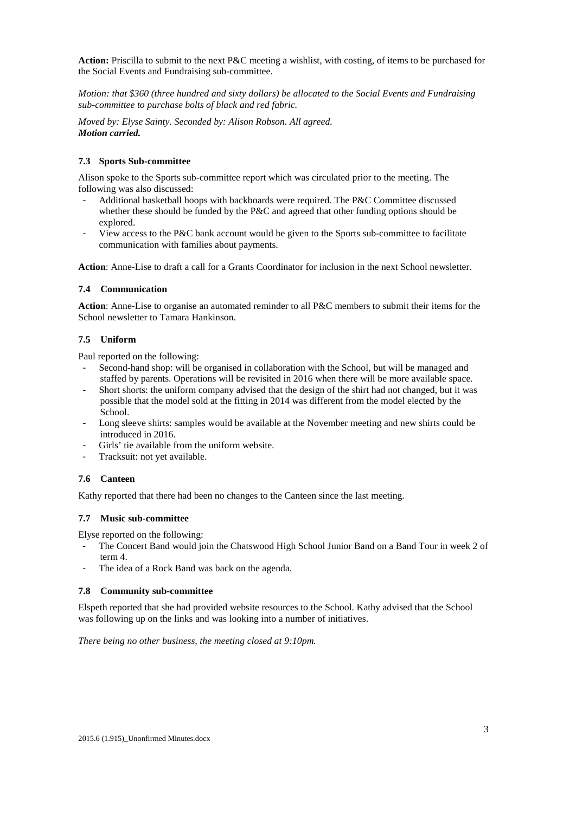**Action:** Priscilla to submit to the next P&C meeting a wishlist, with costing, of items to be purchased for the Social Events and Fundraising sub-committee.

*Motion: that \$360 (three hundred and sixty dollars) be allocated to the Social Events and Fundraising sub-committee to purchase bolts of black and red fabric.* 

*Moved by: Elyse Sainty. Seconded by: Alison Robson. All agreed. Motion carried.*

# **7.3 Sports Sub-committee**

Alison spoke to the Sports sub-committee report which was circulated prior to the meeting. The following was also discussed:

- Additional basketball hoops with backboards were required. The P&C Committee discussed whether these should be funded by the P&C and agreed that other funding options should be explored.
- View access to the P&C bank account would be given to the Sports sub-committee to facilitate communication with families about payments.

**Action**: Anne-Lise to draft a call for a Grants Coordinator for inclusion in the next School newsletter.

## **7.4 Communication**

**Action**: Anne-Lise to organise an automated reminder to all P&C members to submit their items for the School newsletter to Tamara Hankinson.

## **7.5 Uniform**

Paul reported on the following:

- Second-hand shop: will be organised in collaboration with the School, but will be managed and staffed by parents. Operations will be revisited in 2016 when there will be more available space.
- Short shorts: the uniform company advised that the design of the shirt had not changed, but it was possible that the model sold at the fitting in 2014 was different from the model elected by the School.
- Long sleeve shirts: samples would be available at the November meeting and new shirts could be introduced in 2016.
- Girls' tie available from the uniform website.
- Tracksuit: not yet available.

## **7.6 Canteen**

Kathy reported that there had been no changes to the Canteen since the last meeting.

### **7.7 Music sub-committee**

Elyse reported on the following:

- The Concert Band would join the Chatswood High School Junior Band on a Band Tour in week 2 of term 4.
- The idea of a Rock Band was back on the agenda.

### **7.8 Community sub-committee**

Elspeth reported that she had provided website resources to the School. Kathy advised that the School was following up on the links and was looking into a number of initiatives.

*There being no other business, the meeting closed at 9:10pm.*